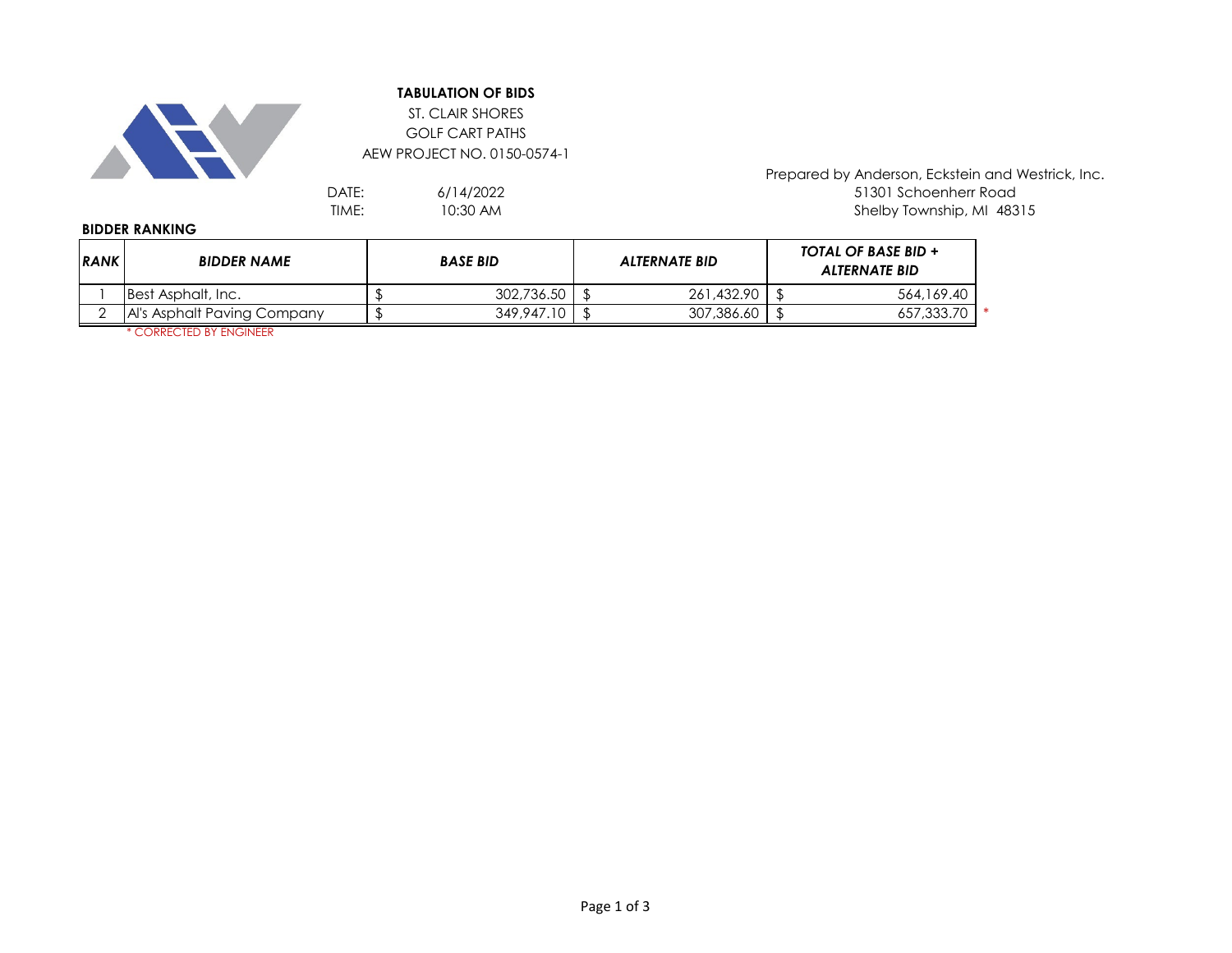

## **TABULATION OF BIDS**

ST. CLAIR SHORES GOLF CART PATHS AEW PROJECT NO. 0150-0574-1

> 6/14/2022 10:30 AM

Prepared by Anderson, Eckstein and Westrick, Inc. DATE:  $6/14/2022$  6/14/2022<br>TIME: 10:30 AM 10:30 AM 16:30 AM 16:30 AM 16:30 AM 16:30 AM 16:30 AM 16:30 AM 16:30 AM 16:30 AM 16:30 AM 16:30 Shelby Township, MI 48315

## **BIDDER RANKING**

| RANK | <b>BIDDER NAME</b>          | <b>BASE BID</b> |            |  | <b>ALTERNATE BID</b> | <b>TOTAL OF BASE BID +</b><br><b>ALTERNATE BID</b> |  |
|------|-----------------------------|-----------------|------------|--|----------------------|----------------------------------------------------|--|
|      | Best Asphalt, Inc.          |                 | 302,736.50 |  | 261.432.90           | 564,169.40                                         |  |
|      | Al's Asphalt Paving Company |                 | 349,947.10 |  | 307,386.60           | 657,333.70                                         |  |

\* CORRECTED BY ENGINEER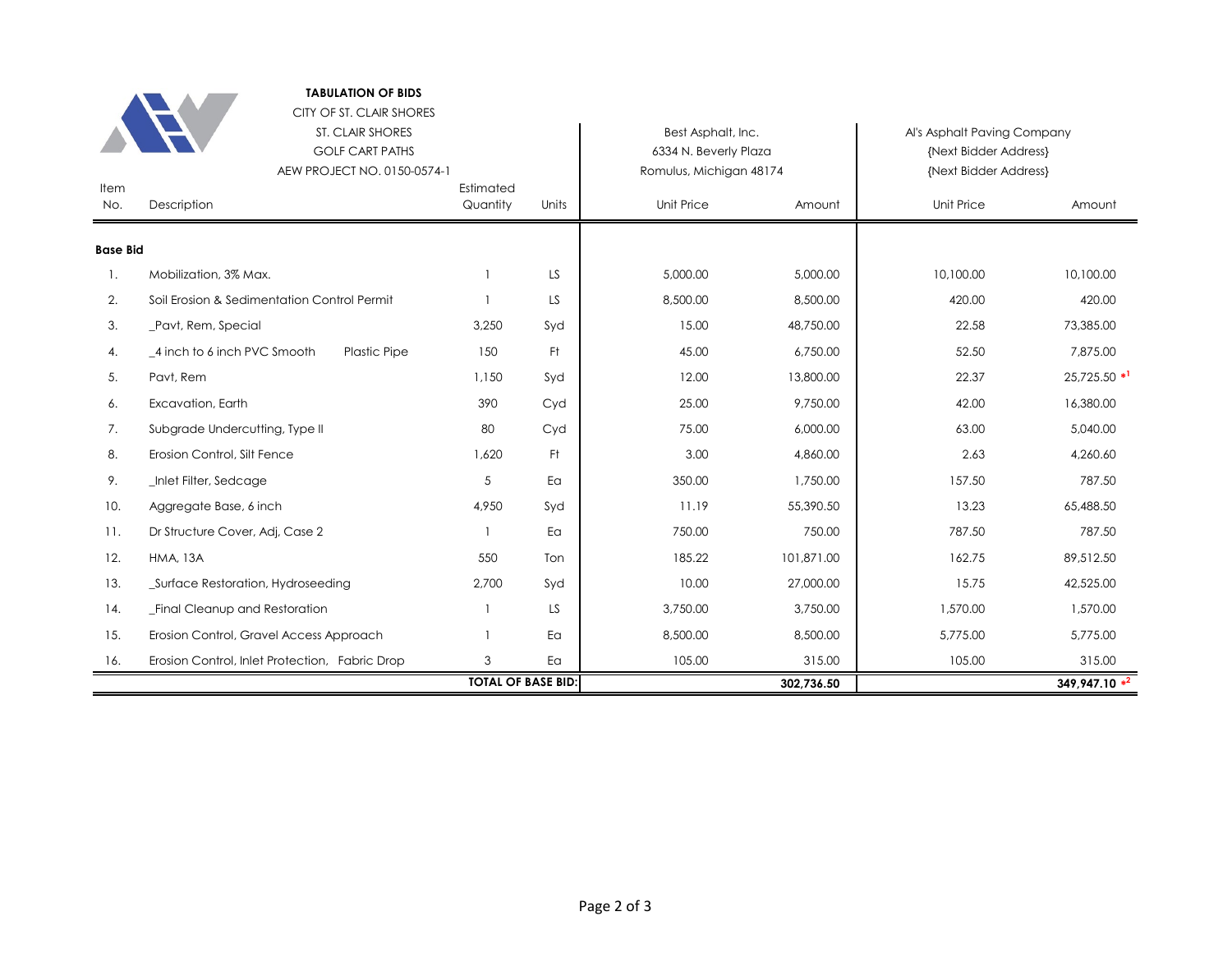|                 | <b>TABULATION OF BIDS</b>                                                                             |                           |       |                                                                        |            |                                                                               |                            |  |
|-----------------|-------------------------------------------------------------------------------------------------------|---------------------------|-------|------------------------------------------------------------------------|------------|-------------------------------------------------------------------------------|----------------------------|--|
|                 | CITY OF ST. CLAIR SHORES<br>ST. CLAIR SHORES<br><b>GOLF CART PATHS</b><br>AEW PROJECT NO. 0150-0574-1 |                           |       | Best Asphalt, Inc.<br>6334 N. Beverly Plaza<br>Romulus, Michigan 48174 |            | Al's Asphalt Paving Company<br>{Next Bidder Address}<br>{Next Bidder Address} |                            |  |
| Item<br>No.     | Description                                                                                           | Estimated<br>Quantity     | Units | <b>Unit Price</b>                                                      | Amount     | <b>Unit Price</b>                                                             | Amount                     |  |
| <b>Base Bid</b> |                                                                                                       |                           |       |                                                                        |            |                                                                               |                            |  |
| 1.              | Mobilization, 3% Max.                                                                                 |                           | LS    | 5,000.00                                                               | 5,000.00   | 10,100.00                                                                     | 10,100.00                  |  |
| 2.              | Soil Erosion & Sedimentation Control Permit                                                           |                           | LS    | 8,500.00                                                               | 8,500.00   | 420.00                                                                        | 420.00                     |  |
| 3.              | _Pavt, Rem, Special                                                                                   | 3,250                     | Syd   | 15.00                                                                  | 48,750.00  | 22.58                                                                         | 73,385.00                  |  |
| 4.              | 4 inch to 6 inch PVC Smooth<br><b>Plastic Pipe</b>                                                    | 150                       | Ft.   | 45.00                                                                  | 6,750.00   | 52.50                                                                         | 7,875.00                   |  |
| 5.              | Pavt, Rem                                                                                             | 1,150                     | Syd   | 12.00                                                                  | 13,800.00  | 22.37                                                                         | $25,725.50$ * <sup>1</sup> |  |
| 6.              | Excavation, Earth                                                                                     | 390                       | Cyd   | 25.00                                                                  | 9.750.00   | 42.00                                                                         | 16,380.00                  |  |
| 7.              | Subgrade Undercutting, Type II                                                                        | 80                        | Cyd   | 75.00                                                                  | 6,000.00   | 63.00                                                                         | 5,040.00                   |  |
| 8.              | Erosion Control, Silt Fence                                                                           | 1,620                     | Ft.   | 3.00                                                                   | 4,860.00   | 2.63                                                                          | 4,260.60                   |  |
| 9.              | _Inlet Filter, Sedcage                                                                                | 5                         | Ea    | 350.00                                                                 | 1,750.00   | 157.50                                                                        | 787.50                     |  |
| 10.             | Aggregate Base, 6 inch                                                                                | 4,950                     | Syd   | 11.19                                                                  | 55,390.50  | 13.23                                                                         | 65,488.50                  |  |
| 11.             | Dr Structure Cover, Adj, Case 2                                                                       |                           | Ea    | 750.00                                                                 | 750.00     | 787.50                                                                        | 787.50                     |  |
| 12.             | <b>HMA, 13A</b>                                                                                       | 550                       | Ton   | 185.22                                                                 | 101,871.00 | 162.75                                                                        | 89,512.50                  |  |
| 13.             | _Surface Restoration, Hydroseeding                                                                    | 2,700                     | Syd   | 10.00                                                                  | 27,000.00  | 15.75                                                                         | 42,525.00                  |  |
| 14.             | <b>Final Cleanup and Restoration</b>                                                                  |                           | LS    | 3,750.00                                                               | 3,750.00   | 1,570.00                                                                      | 1,570.00                   |  |
| 15.             | Erosion Control, Gravel Access Approach                                                               |                           | Ea    | 8,500.00                                                               | 8,500.00   | 5,775.00                                                                      | 5,775.00                   |  |
| 16.             | Erosion Control, Inlet Protection, Fabric Drop                                                        | 3                         | Ea    | 105.00                                                                 | 315.00     | 105.00                                                                        | 315.00                     |  |
|                 |                                                                                                       | <b>TOTAL OF BASE BID:</b> |       | 302,736.50                                                             |            | 349,947.10 **                                                                 |                            |  |